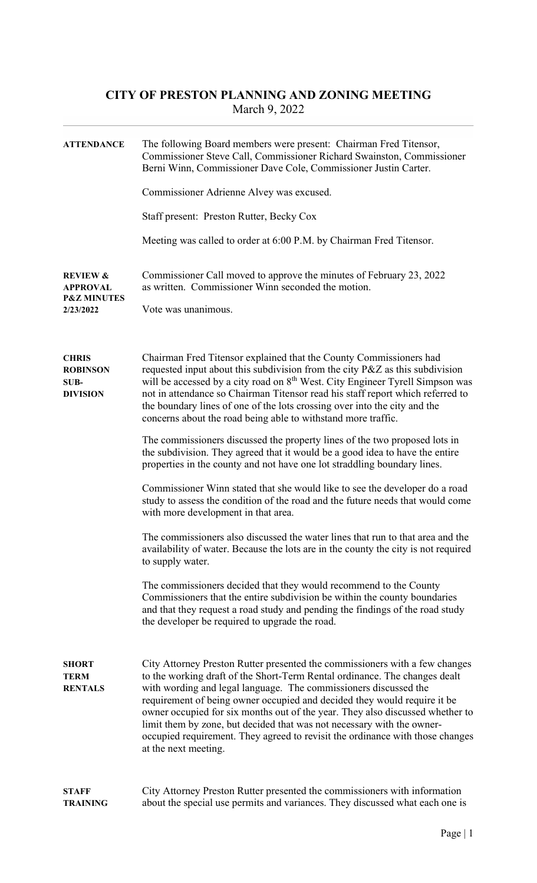## CITY OF PRESTON PLANNING AND ZONING MEETING March 9, 2022

| <b>ATTENDANCE</b>                                                             | The following Board members were present: Chairman Fred Titensor,<br>Commissioner Steve Call, Commissioner Richard Swainston, Commissioner<br>Berni Winn, Commissioner Dave Cole, Commissioner Justin Carter.                                                                                                                                                                                                                                                                                                                                                                 |  |  |  |
|-------------------------------------------------------------------------------|-------------------------------------------------------------------------------------------------------------------------------------------------------------------------------------------------------------------------------------------------------------------------------------------------------------------------------------------------------------------------------------------------------------------------------------------------------------------------------------------------------------------------------------------------------------------------------|--|--|--|
|                                                                               | Commissioner Adrienne Alvey was excused.                                                                                                                                                                                                                                                                                                                                                                                                                                                                                                                                      |  |  |  |
|                                                                               | Staff present: Preston Rutter, Becky Cox                                                                                                                                                                                                                                                                                                                                                                                                                                                                                                                                      |  |  |  |
|                                                                               | Meeting was called to order at 6:00 P.M. by Chairman Fred Titensor.                                                                                                                                                                                                                                                                                                                                                                                                                                                                                                           |  |  |  |
| <b>REVIEW &amp;</b><br><b>APPROVAL</b><br><b>P&amp;Z MINUTES</b><br>2/23/2022 | Commissioner Call moved to approve the minutes of February 23, 2022<br>as written. Commissioner Winn seconded the motion.<br>Vote was unanimous.                                                                                                                                                                                                                                                                                                                                                                                                                              |  |  |  |
|                                                                               |                                                                                                                                                                                                                                                                                                                                                                                                                                                                                                                                                                               |  |  |  |
| <b>CHRIS</b><br><b>ROBINSON</b><br>SUB-<br><b>DIVISION</b>                    | Chairman Fred Titensor explained that the County Commissioners had<br>requested input about this subdivision from the city P&Z as this subdivision<br>will be accessed by a city road on 8 <sup>th</sup> West. City Engineer Tyrell Simpson was<br>not in attendance so Chairman Titensor read his staff report which referred to<br>the boundary lines of one of the lots crossing over into the city and the<br>concerns about the road being able to withstand more traffic.                                                                                               |  |  |  |
|                                                                               | The commissioners discussed the property lines of the two proposed lots in<br>the subdivision. They agreed that it would be a good idea to have the entire<br>properties in the county and not have one lot straddling boundary lines.                                                                                                                                                                                                                                                                                                                                        |  |  |  |
|                                                                               | Commissioner Winn stated that she would like to see the developer do a road<br>study to assess the condition of the road and the future needs that would come<br>with more development in that area.                                                                                                                                                                                                                                                                                                                                                                          |  |  |  |
|                                                                               | The commissioners also discussed the water lines that run to that area and the<br>availability of water. Because the lots are in the county the city is not required<br>to supply water.                                                                                                                                                                                                                                                                                                                                                                                      |  |  |  |
|                                                                               | The commissioners decided that they would recommend to the County<br>Commissioners that the entire subdivision be within the county boundaries<br>and that they request a road study and pending the findings of the road study<br>the developer be required to upgrade the road.                                                                                                                                                                                                                                                                                             |  |  |  |
| <b>SHORT</b><br><b>TERM</b><br><b>RENTALS</b>                                 | City Attorney Preston Rutter presented the commissioners with a few changes<br>to the working draft of the Short-Term Rental ordinance. The changes dealt<br>with wording and legal language. The commissioners discussed the<br>requirement of being owner occupied and decided they would require it be<br>owner occupied for six months out of the year. They also discussed whether to<br>limit them by zone, but decided that was not necessary with the owner-<br>occupied requirement. They agreed to revisit the ordinance with those changes<br>at the next meeting. |  |  |  |
| <b>STAFF</b><br><b>TRAINING</b>                                               | City Attorney Preston Rutter presented the commissioners with information<br>about the special use permits and variances. They discussed what each one is                                                                                                                                                                                                                                                                                                                                                                                                                     |  |  |  |